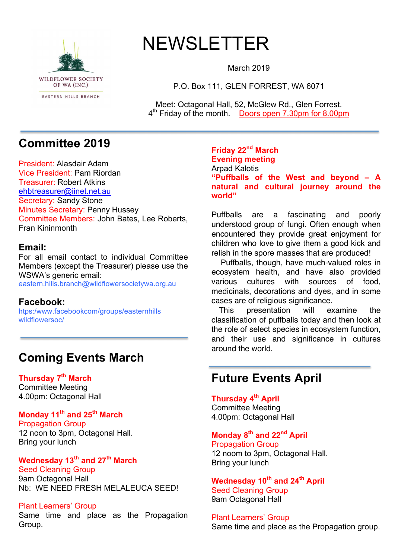

# NEWSLETTER

March 2019

P.O. Box 111, GLEN FORREST, WA 6071

Meet: Octagonal Hall, 52, McGlew Rd., Glen Forrest. 4th Friday of the month. Doors open 7.30pm for 8.00pm

# **Committee 2019**

President: Alasdair Adam Vice President: Pam Riordan Treasurer: Robert Atkins ehbtreasurer@iinet.net.au Secretary: Sandy Stone Minutes Secretary: Penny Hussey Committee Members: John Bates, Lee Roberts, Fran Kininmonth

### **Email:**

For all email contact to individual Committee Members (except the Treasurer) please use the WSWA's generic email: eastern.hills.branch@wildflowersocietywa.org.au

### **Facebook:**

htps:/www.facebookcom/groups/easternhills wildflowersoc/

# **Coming Events March**

**Thursday 7th March** Committee Meeting 4.00pm: Octagonal Hall

### **Monday 11th and 25th March**

Propagation Group 12 noon to 3pm, Octagonal Hall. Bring your lunch

# **Wednesday 13th and 27th March**

Seed Cleaning Group 9am Octagonal Hall Nb: WE NEED FRESH MELALEUCA SEED!

#### Plant Learners' Group

Same time and place as the Propagation Group.

**Friday 22nd March Evening meeting** Arpad Kalotis **"Puffballs of the West and beyond – A natural and cultural journey around the world"**

Puffballs are a fascinating and poorly understood group of fungi. Often enough when encountered they provide great enjoyment for children who love to give them a good kick and relish in the spore masses that are produced!

 Puffballs, though, have much-valued roles in ecosystem health, and have also provided various cultures with sources of food, medicinals, decorations and dyes, and in some cases are of religious significance.

 This presentation will examine the classification of puffballs today and then look at the role of select species in ecosystem function, and their use and significance in cultures around the world.

# **Future Events April**

### **Thursday 4th April**

Committee Meeting 4.00pm: Octagonal Hall

### **Monday 8th and 22nd April**

Propagation Group 12 noom to 3pm, Octagonal Hall. Bring your lunch

#### **Wednesday 10th and 24th April** Seed Cleaning Group 9am Octagonal Hall

Plant Learners' Group Same time and place as the Propagation group.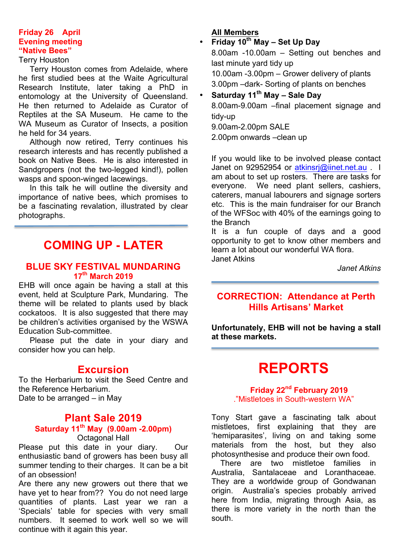#### **Friday 26 April Evening meeting "Native Bees"**

#### Terry Houston

 Terry Houston comes from Adelaide, where he first studied bees at the Waite Agricultural Research Institute, later taking a PhD in entomology at the University of Queensland. He then returned to Adelaide as Curator of Reptiles at the SA Museum. He came to the WA Museum as Curator of Insects, a position he held for 34 years.

 Although now retired, Terry continues his research interests and has recently published a book on Native Bees. He is also interested in Sandgropers (not the two-legged kind!), pollen wasps and spoon-winged lacewings.

 In this talk he will outline the diversity and importance of native bees, which promises to be a fascinating revalation, illustrated by clear photographs.

# **COMING UP - LATER**

### **BLUE SKY FESTIVAL MUNDARING 17th March 2019**

EHB will once again be having a stall at this event, held at Sculpture Park, Mundaring. The theme will be related to plants used by black cockatoos. It is also suggested that there may be children's activities organised by the WSWA Education Sub-committee.

 Please put the date in your diary and consider how you can help.

### **Excursion**

To the Herbarium to visit the Seed Centre and the Reference Herbarium. Date to be arranged – in May

# **Plant Sale 2019 Saturday 11th May (9.00am -2.00pm)**

Octagonal Hall

Please put this date in your diary. Our enthusiastic band of growers has been busy all summer tending to their charges. It can be a bit of an obsession!

Are there any new growers out there that we have yet to hear from?? You do not need large quantities of plants. Last year we ran a 'Specials' table for species with very small numbers. It seemed to work well so we will continue with it again this year.

#### **All Members**

• **Friday 10th May – Set Up Day** 8.00am -10.00am – Setting out benches and

last minute yard tidy up 10.00am -3.00pm – Grower delivery of plants 3.00pm –dark- Sorting of plants on benches

### • **Saturday 11th May – Sale Day**

8.00am-9.00am –final placement signage and tidy-up

9.00am-2.00pm SALE

2.00pm onwards –clean up

If you would like to be involved please contact Janet on 92952954 or atkinsrj@iinet.net.au . I am about to set up rosters. There are tasks for everyone. We need plant sellers, cashiers, caterers, manual labourers and signage sorters etc. This is the main fundraiser for our Branch of the WFSoc with 40% of the earnings going to the Branch

It is a fun couple of days and a good opportunity to get to know other members and learn a lot about our wonderful WA flora. Janet Atkins

*Janet Atkins*

### **CORRECTION: Attendance at Perth Hills Artisans' Market**

**Unfortunately, EHB will not be having a stall at these markets.**

# **REPORTS**

**Friday 22nd February 2019** ."Mistletoes in South-western WA"

Tony Start gave a fascinating talk about mistletoes, first explaining that they are 'hemiparasites', living on and taking some materials from the host, but they also photosynthesise and produce their own food.

 There are two mistletoe families in Australia, Santalaceae and Loranthaceae. They are a worldwide group of Gondwanan origin. Australia's species probably arrived here from India, migrating through Asia, as there is more variety in the north than the south.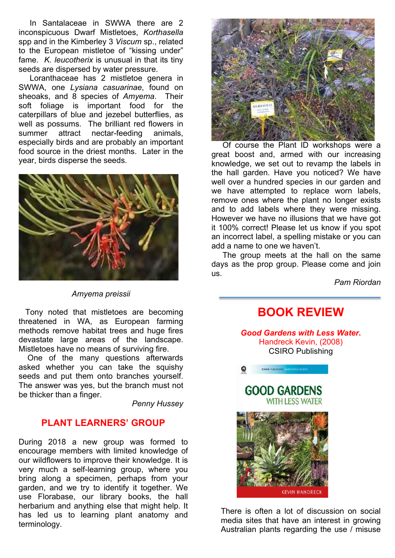In Santalaceae in SWWA there are 2 inconspicuous Dwarf Mistletoes, *Korthasella* spp and in the Kimberley 3 *Viscum* sp., related to the European mistletoe of "kissing under" fame. *K. leucotherix* is unusual in that its tiny seeds are dispersed by water pressure.

Loranthaceae has 2 mistletoe genera in SWWA, one *Lysiana casuarinae*, found on sheoaks, and 8 species of *Amyema*. Their soft foliage is important food for the caterpillars of blue and jezebel butterflies, as well as possums. The brilliant red flowers in summer attract nectar-feeding animals, especially birds and are probably an important food source in the driest months. Later in the year, birds disperse the seeds.



*Amyema preissii*

 Tony noted that mistletoes are becoming threatened in WA, as European farming methods remove habitat trees and huge fires devastate large areas of the landscape. Mistletoes have no means of surviving fire.

 One of the many questions afterwards asked whether you can take the squishy seeds and put them onto branches yourself. The answer was yes, but the branch must not be thicker than a finger.

*Penny Hussey*

### **PLANT LEARNERS' GROUP**

During 2018 a new group was formed to encourage members with limited knowledge of our wildflowers to improve their knowledge. It is very much a self-learning group, where you bring along a specimen, perhaps from your garden, and we try to identify it together. We use Florabase, our library books, the hall herbarium and anything else that might help. It has led us to learning plant anatomy and terminology.



 Of course the Plant ID workshops were a great boost and, armed with our increasing knowledge, we set out to revamp the labels in the hall garden. Have you noticed? We have well over a hundred species in our garden and we have attempted to replace worn labels, remove ones where the plant no longer exists and to add labels where they were missing. However we have no illusions that we have got it 100% correct! Please let us know if you spot an incorrect label, a spelling mistake or you can add a name to one we haven't.

 The group meets at the hall on the same days as the prop group. Please come and join us.

*Pam Riordan*

### **BOOK REVIEW**

*Good Gardens with Less Water***.** Handreck Kevin, (2008) CSIRO Publishing



There is often a lot of discussion on social media sites that have an interest in growing Australian plants regarding the use / misuse